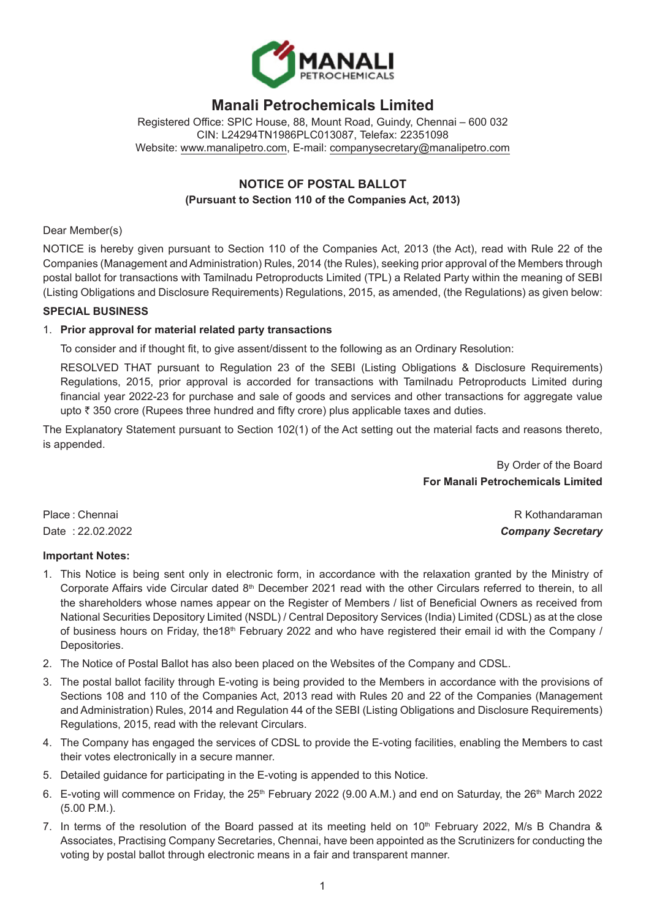

# **Manali Petrochemicals Limited**

Registered Office: SPIC House, 88, Mount Road, Guindy, Chennai – 600 032 CIN: L24294TN1986PLC013087, Telefax: 22351098 Website: [www.manalipetro.com](http://www.manalipetro.com), E-mail: [companysecretary@manalipetro.com](mailto:companysecretary@manalipetro.com)

# **NOTICE OF POSTAL BALLOT (Pursuant to Section 110 of the Companies Act, 2013)**

#### Dear Member(s)

NOTICE is hereby given pursuant to Section 110 of the Companies Act, 2013 (the Act), read with Rule 22 of the Companies (Management and Administration) Rules, 2014 (the Rules), seeking prior approval of the Members through postal ballot for transactions with Tamilnadu Petroproducts Limited (TPL) a Related Party within the meaning of SEBI (Listing Obligations and Disclosure Requirements) Regulations, 2015, as amended, (the Regulations) as given below:

#### **SPECIAL BUSINESS**

# 1. **Prior approval for material related party transactions**

To consider and if thought fit, to give assent/dissent to the following as an Ordinary Resolution:

RESOLVED THAT pursuant to Regulation 23 of the SEBI (Listing Obligations & Disclosure Requirements) Regulations, 2015, prior approval is accorded for transactions with Tamilnadu Petroproducts Limited during financial year 2022-23 for purchase and sale of goods and services and other transactions for aggregate value upto  $\bar{\tau}$  350 crore (Rupees three hundred and fifty crore) plus applicable taxes and duties.

The Explanatory Statement pursuant to Section 102(1) of the Act setting out the material facts and reasons thereto, is appended.

> By Order of the Board **For Manali Petrochemicals Limited**

Place : Chennai R Kothandaraman R Kothandaraman R Kothandaraman R Kothandaraman R Kothandaraman R Kothandaraman Date : 22.02.2022 *Company Secretary*

# **Important Notes:**

- 1. This Notice is being sent only in electronic form, in accordance with the relaxation granted by the Ministry of Corporate Affairs vide Circular dated  $8<sup>th</sup>$  December 2021 read with the other Circulars referred to therein, to all the shareholders whose names appear on the Register of Members / list of Beneficial Owners as received from National Securities Depository Limited (NSDL) / Central Depository Services (India) Limited (CDSL) as at the close of business hours on Friday, the18<sup>th</sup> February 2022 and who have registered their email id with the Company / Depositories.
- 2. The Notice of Postal Ballot has also been placed on the Websites of the Company and CDSL.
- 3. The postal ballot facility through E-voting is being provided to the Members in accordance with the provisions of Sections 108 and 110 of the Companies Act, 2013 read with Rules 20 and 22 of the Companies (Management and Administration) Rules, 2014 and Regulation 44 of the SEBI (Listing Obligations and Disclosure Requirements) Regulations, 2015, read with the relevant Circulars.
- 4. The Company has engaged the services of CDSL to provide the E-voting facilities, enabling the Members to cast their votes electronically in a secure manner.
- 5. Detailed guidance for participating in the E-voting is appended to this Notice.
- 6. E-voting will commence on Friday, the  $25<sup>th</sup>$  February 2022 (9.00 A.M.) and end on Saturday, the  $26<sup>th</sup>$  March 2022 (5.00 P.M.).
- 7. In terms of the resolution of the Board passed at its meeting held on  $10<sup>th</sup>$  February 2022, M/s B Chandra & Associates, Practising Company Secretaries, Chennai, have been appointed as the Scrutinizers for conducting the voting by postal ballot through electronic means in a fair and transparent manner.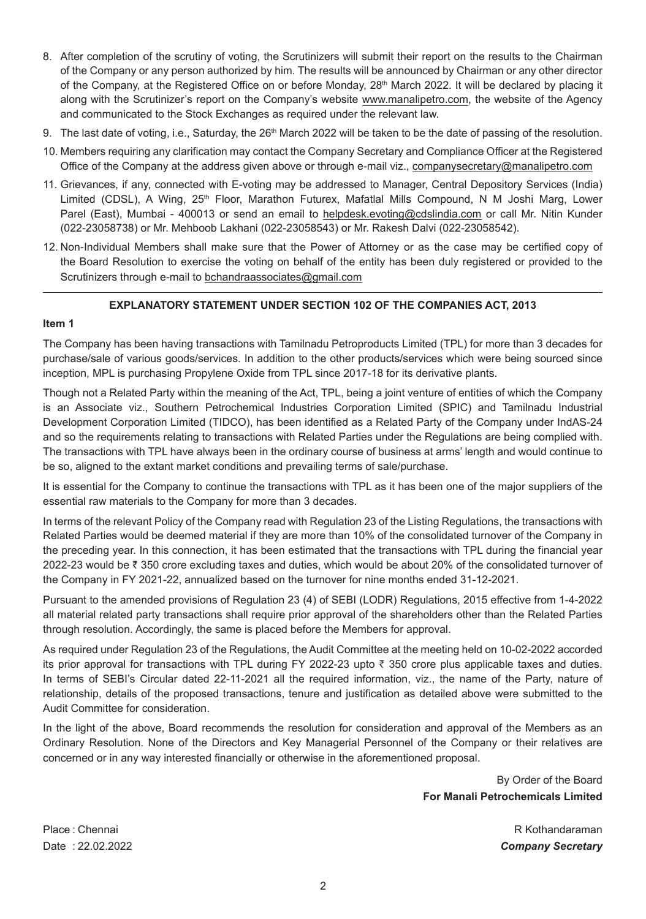- 8. After completion of the scrutiny of voting, the Scrutinizers will submit their report on the results to the Chairman of the Company or any person authorized by him. The results will be announced by Chairman or any other director of the Company, at the Registered Office on or before Monday, 28<sup>th</sup> March 2022. It will be declared by placing it along with the Scrutinizer's report on the Company's website [www.manalipetro.com,](http://www.manalipetro.com/) the website of the Agency and communicated to the Stock Exchanges as required under the relevant law.
- 9. The last date of voting, i.e., Saturday, the 26<sup>th</sup> March 2022 will be taken to be the date of passing of the resolution.
- 10. Members requiring any clarification may contact the Company Secretary and Compliance Officer at the Registered Office of the Company at the address given above or through e-mail viz., [companysecretary@manalipetro.com](mailto:companysecretary@manalipetro.com)
- 11. Grievances, if any, connected with E-voting may be addressed to Manager, Central Depository Services (India) Limited (CDSL), A Wing, 25<sup>th</sup> Floor, Marathon Futurex, Mafatlal Mills Compound, N M Joshi Marg, Lower Parel (East), Mumbai - 400013 or send an email to [helpdesk.evoting@cdslindia.com](mailto:helpdesk.evoting@cdslindia.com) or call Mr. Nitin Kunder (022-23058738) or Mr. Mehboob Lakhani (022-23058543) or Mr. Rakesh Dalvi (022-23058542).
- 12. Non-Individual Members shall make sure that the Power of Attorney or as the case may be certified copy of the Board Resolution to exercise the voting on behalf of the entity has been duly registered or provided to the Scrutinizers through e-mail to [bchandraassociates@gmail.com](mailto:bchandraassociates@gmail.com)

## **EXPLANATORY STATEMENT UNDER SECTION 102 OF THE COMPANIES ACT, 2013**

#### **Item 1**

The Company has been having transactions with Tamilnadu Petroproducts Limited (TPL) for more than 3 decades for purchase/sale of various goods/services. In addition to the other products/services which were being sourced since inception, MPL is purchasing Propylene Oxide from TPL since 2017-18 for its derivative plants.

Though not a Related Party within the meaning of the Act, TPL, being a joint venture of entities of which the Company is an Associate viz., Southern Petrochemical Industries Corporation Limited (SPIC) and Tamilnadu Industrial Development Corporation Limited (TIDCO), has been identified as a Related Party of the Company under IndAS-24 and so the requirements relating to transactions with Related Parties under the Regulations are being complied with. The transactions with TPL have always been in the ordinary course of business at arms' length and would continue to be so, aligned to the extant market conditions and prevailing terms of sale/purchase.

It is essential for the Company to continue the transactions with TPL as it has been one of the major suppliers of the essential raw materials to the Company for more than 3 decades.

In terms of the relevant Policy of the Company read with Regulation 23 of the Listing Regulations, the transactions with Related Parties would be deemed material if they are more than 10% of the consolidated turnover of the Company in the preceding year. In this connection, it has been estimated that the transactions with TPL during the financial year 2022-23 would be ₹ 350 crore excluding taxes and duties, which would be about 20% of the consolidated turnover of the Company in FY 2021-22, annualized based on the turnover for nine months ended 31-12-2021.

Pursuant to the amended provisions of Regulation 23 (4) of SEBI (LODR) Regulations, 2015 effective from 1-4-2022 all material related party transactions shall require prior approval of the shareholders other than the Related Parties through resolution. Accordingly, the same is placed before the Members for approval.

As required under Regulation 23 of the Regulations, the Audit Committee at the meeting held on 10-02-2022 accorded its prior approval for transactions with TPL during FY 2022-23 upto  $\bar{\tau}$  350 crore plus applicable taxes and duties. In terms of SEBI's Circular dated 22-11-2021 all the required information, viz., the name of the Party, nature of relationship, details of the proposed transactions, tenure and justification as detailed above were submitted to the Audit Committee for consideration.

In the light of the above, Board recommends the resolution for consideration and approval of the Members as an Ordinary Resolution. None of the Directors and Key Managerial Personnel of the Company or their relatives are concerned or in any way interested financially or otherwise in the aforementioned proposal.

> By Order of the Board **For Manali Petrochemicals Limited**

Place : Chennai R Kothandaraman Date : 22.02.2022 *Company Secretary*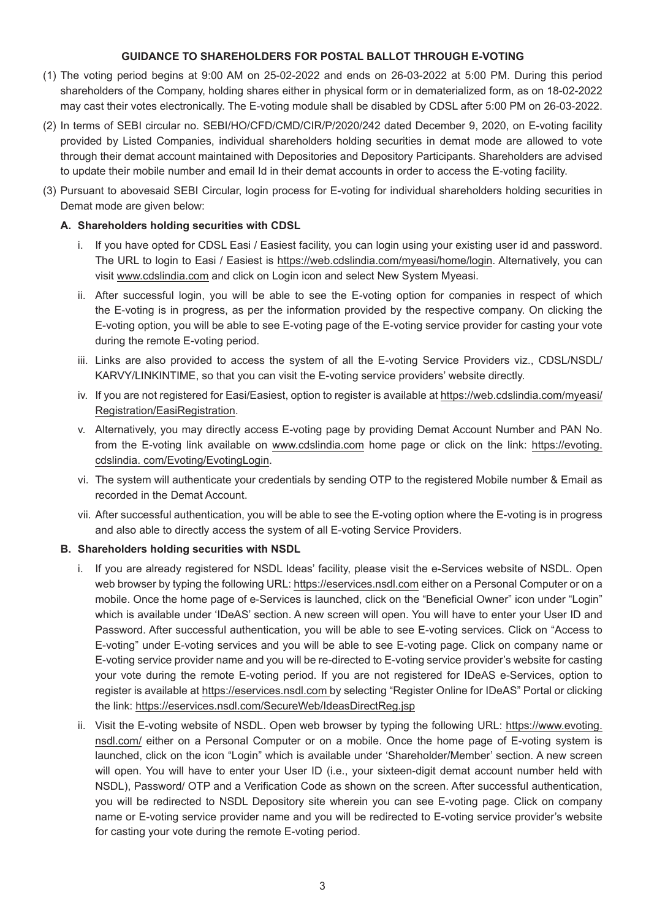## **GUIDANCE TO SHAREHOLDERS FOR POSTAL BALLOT THROUGH E-VOTING**

- (1) The voting period begins at 9:00 AM on 25-02-2022 and ends on 26-03-2022 at 5:00 PM. During this period shareholders of the Company, holding shares either in physical form or in dematerialized form, as on 18-02-2022 may cast their votes electronically. The E-voting module shall be disabled by CDSL after 5:00 PM on 26-03-2022.
- (2) In terms of SEBI circular no. SEBI/HO/CFD/CMD/CIR/P/2020/242 dated December 9, 2020, on E-voting facility provided by Listed Companies, individual shareholders holding securities in demat mode are allowed to vote through their demat account maintained with Depositories and Depository Participants. Shareholders are advised to update their mobile number and email Id in their demat accounts in order to access the E-voting facility.
- (3) Pursuant to abovesaid SEBI Circular, login process for E-voting for individual shareholders holding securities in Demat mode are given below:

## **A. Shareholders holding securities with CDSL**

- i. If you have opted for CDSL Easi / Easiest facility, you can login using your existing user id and password. The URL to login to Easi / Easiest is <https://web.cdslindia.com/myeasi/home/login>. Alternatively, you can visit [www.cdslindia.com](http://www.cdslindia.com/) and click on Login icon and select New System Myeasi.
- ii. After successful login, you will be able to see the E-voting option for companies in respect of which the E-voting is in progress, as per the information provided by the respective company. On clicking the E-voting option, you will be able to see E-voting page of the E-voting service provider for casting your vote during the remote E-voting period.
- iii. Links are also provided to access the system of all the E-voting Service Providers viz., CDSL/NSDL/ KARVY/LINKINTIME, so that you can visit the E-voting service providers' website directly.
- iv. If you are not registered for Easi/Easiest, option to register is available at [https://web.cdslindia.com/myeasi/](https://web.cdslindia.com/myeasi/Registration/EasiRegistration) [Registration/EasiRegistration.](https://web.cdslindia.com/myeasi/Registration/EasiRegistration)
- v. Alternatively, you may directly access E-voting page by providing Demat Account Number and PAN No. from the E-voting link available on [www.cdslindia.com](http://www.cdslindia.com/) home page or click on the link: [https://evoting.](https://evoting.cdslindia.com/Evoting/EvotingLogin) [cdslindia.](https://evoting.cdslindia.com/Evoting/EvotingLogin) [com/Evoting/EvotingLogin.](https://evoting.cdslindia.com/Evoting/EvotingLogin)
- vi. The system will authenticate your credentials by sending OTP to the registered Mobile number & Email as recorded in the Demat Account.
- vii. After successful authentication, you will be able to see the E-voting option where the E-voting is in progress and also able to directly access the system of all E-voting Service Providers.

#### **B. Shareholders holding securities with NSDL**

- i. If you are already registered for NSDL Ideas' facility, please visit the e-Services website of NSDL. Open web browser by typing the following URL: [https://eservices.nsdl.com](https://eservices.nsdl.com/) either on a Personal Computer or on a mobile. Once the home page of e-Services is launched, click on the "Beneficial Owner" icon under "Login" which is available under 'IDeAS' section. A new screen will open. You will have to enter your User ID and Password. After successful authentication, you will be able to see E-voting services. Click on "Access to E-voting" under E-voting services and you will be able to see E-voting page. Click on company name or E-voting service provider name and you will be re-directed to E-voting service provider's website for casting your vote during the remote E-voting period. If you are not registered for IDeAS e-Services, option to register is available at https://eservices.nsdl.com by selecting "Register Online for IDeAS" Portal or clicking the link: <https://eservices.nsdl.com/SecureWeb/IdeasDirectReg.jsp>
- ii. Visit the E-voting website of NSDL. Open web browser by typing the following URL: [https://www.evoting.](https://www.evoting.nsdl.com/) [nsdl.com/](https://www.evoting.nsdl.com/) either on a Personal Computer or on a mobile. Once the home page of E-voting system is launched, click on the icon "Login" which is available under 'Shareholder/Member' section. A new screen will open. You will have to enter your User ID (i.e., your sixteen-digit demat account number held with NSDL), Password/ OTP and a Verification Code as shown on the screen. After successful authentication, you will be redirected to NSDL Depository site wherein you can see E-voting page. Click on company name or E-voting service provider name and you will be redirected to E-voting service provider's website for casting your vote during the remote E-voting period.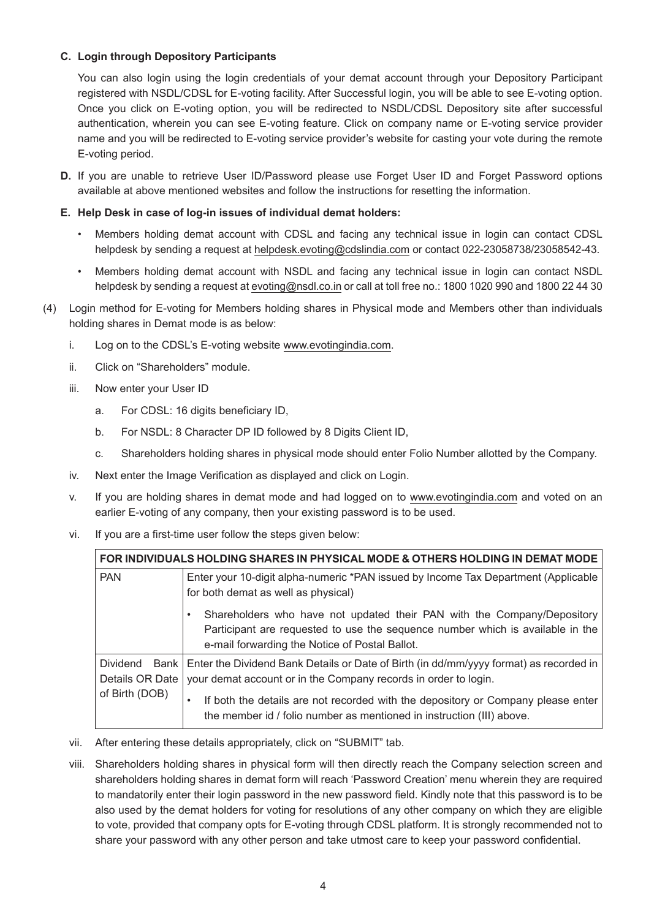# **C. Login through Depository Participants**

 You can also login using the login credentials of your demat account through your Depository Participant registered with NSDL/CDSL for E-voting facility. After Successful login, you will be able to see E-voting option. Once you click on E-voting option, you will be redirected to NSDL/CDSL Depository site after successful authentication, wherein you can see E-voting feature. Click on company name or E-voting service provider name and you will be redirected to E-voting service provider's website for casting your vote during the remote E-voting period.

**D.** If you are unable to retrieve User ID/Password please use Forget User ID and Forget Password options available at above mentioned websites and follow the instructions for resetting the information.

## **E. Help Desk in case of log-in issues of individual demat holders:**

- Members holding demat account with CDSL and facing any technical issue in login can contact CDSL helpdesk by sending a request at [helpdesk.evoting@cdslindia.com](mailto:helpdesk.evoting@cdslindia.com) or contact 022-23058738/23058542-43.
- Members holding demat account with NSDL and facing any technical issue in login can contact NSDL helpdesk by sending a request at [evoting@nsdl.co.in](mailto:evoting@nsdl.co.in) or call at toll free no.: 1800 1020 990 and 1800 22 44 30
- (4) Login method for E-voting for Members holding shares in Physical mode and Members other than individuals holding shares in Demat mode is as below:
	- i. Log on to the CDSL's E-voting website [www.evotingindia.com.](http://www.evotingindia.com/)
	- ii. Click on "Shareholders" module.
	- iii. Now enter your User ID
		- a. For CDSL: 16 digits beneficiary ID,
		- b. For NSDL: 8 Character DP ID followed by 8 Digits Client ID,
		- c. Shareholders holding shares in physical mode should enter Folio Number allotted by the Company.
	- iv. Next enter the Image Verification as displayed and click on Login.
	- v. If you are holding shares in demat mode and had logged on to [www.evotingindia.com](http://www.evotingindia.com/) and voted on an earlier E-voting of any company, then your existing password is to be used.
	- vi. If you are a first-time user follow the steps given below:

| FOR INDIVIDUALS HOLDING SHARES IN PHYSICAL MODE & OTHERS HOLDING IN DEMAT MODE |                                                                                                                                                                                                                          |
|--------------------------------------------------------------------------------|--------------------------------------------------------------------------------------------------------------------------------------------------------------------------------------------------------------------------|
| <b>PAN</b>                                                                     | Enter your 10-digit alpha-numeric *PAN issued by Income Tax Department (Applicable<br>for both demat as well as physical)                                                                                                |
|                                                                                | Shareholders who have not updated their PAN with the Company/Depository<br>$\bullet$<br>Participant are requested to use the sequence number which is available in the<br>e-mail forwarding the Notice of Postal Ballot. |
| <b>Dividend</b><br>Bank<br>Details OR Date<br>of Birth (DOB)                   | Enter the Dividend Bank Details or Date of Birth (in dd/mm/yyyy format) as recorded in<br>your demat account or in the Company records in order to login.                                                                |
|                                                                                | If both the details are not recorded with the depository or Company please enter<br>٠<br>the member id / folio number as mentioned in instruction (III) above.                                                           |

- vii. After entering these details appropriately, click on "SUBMIT" tab.
- viii. Shareholders holding shares in physical form will then directly reach the Company selection screen and shareholders holding shares in demat form will reach 'Password Creation' menu wherein they are required to mandatorily enter their login password in the new password field. Kindly note that this password is to be also used by the demat holders for voting for resolutions of any other company on which they are eligible to vote, provided that company opts for E-voting through CDSL platform. It is strongly recommended not to share your password with any other person and take utmost care to keep your password confidential.